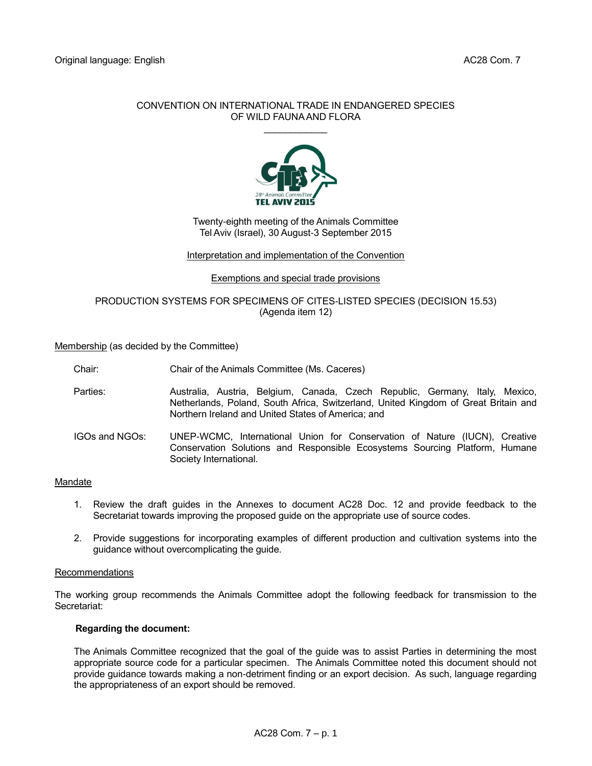### CONVENTION ON INTERNATIONAL TRADE IN ENDANGERED SPECIES OF WILD FAUNA AND FLORA



## Twenty-eighth meeting of the Animals Committee Tel Aviv (Israel), 30 August-3 September 2015

#### Interpretation and implementation of the Convention

Exemptions and special trade provisions

# PRODUCTION SYSTEMS FOR SPECIMENS OF CITES-LISTED SPECIES (DECISION 15.53) (Agenda item 12)

Membership (as decided by the Committee)

Chair: Chair of the Animals Committee (Ms. Caceres)

- Parties: Australia, Austria, Belgium, Canada, Czech Republic, Germany, Italy, Mexico, Netherlands, Poland, South Africa, Switzerland, United Kingdom of Great Britain and Northern Ireland and United States of America; and
- IGOs and NGOs: UNEP-WCMC, International Union for Conservation of Nature (IUCN), Creative Conservation Solutions and Responsible Ecosystems Sourcing Platform, Humane Society International.

#### Mandate

- 1. Review the draft guides in the Annexes to document AC28 Doc. 12 and provide feedback to the Secretariat towards improving the proposed guide on the appropriate use of source codes.
- 2. Provide suggestions for incorporating examples of different production and cultivation systems into the guidance without overcomplicating the guide.

#### Recommendations

The working group recommends the Animals Committee adopt the following feedback for transmission to the Secretariat:

#### **Regarding the document:**

The Animals Committee recognized that the goal of the guide was to assist Parties in determining the most appropriate source code for a particular specimen. The Animals Committee noted this document should not provide guidance towards making a non-detriment finding or an export decision. As such, language regarding the appropriateness of an export should be removed.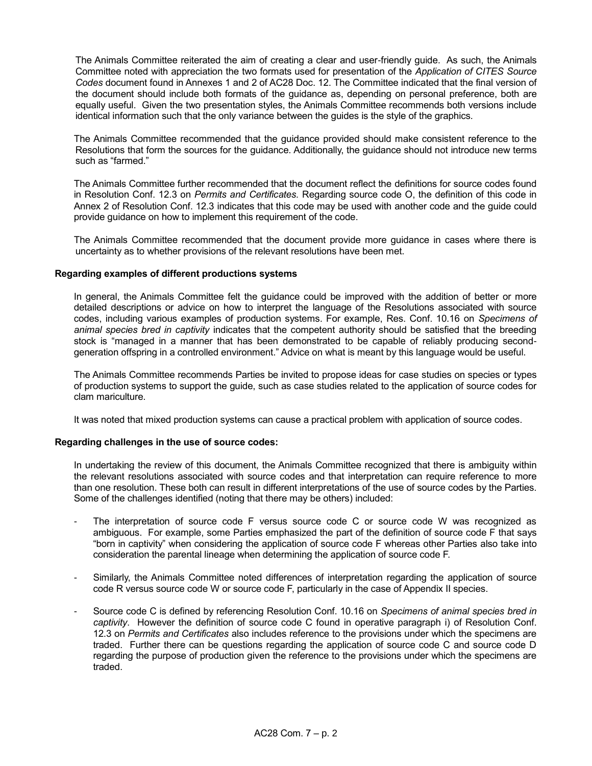The Animals Committee reiterated the aim of creating a clear and user-friendly guide. As such, the Animals Committee noted with appreciation the two formats used for presentation of the *Application of CITES Source Codes* document found in Annexes 1 and 2 of AC28 Doc. 12. The Committee indicated that the final version of the document should include both formats of the guidance as, depending on personal preference, both are equally useful. Given the two presentation styles, the Animals Committee recommends both versions include identical information such that the only variance between the guides is the style of the graphics*.*

The Animals Committee recommended that the guidance provided should make consistent reference to the Resolutions that form the sources for the guidance. Additionally, the guidance should not introduce new terms such as "farmed."

The Animals Committee further recommended that the document reflect the definitions for source codes found in Resolution Conf. 12.3 on *Permits and Certificates.* Regarding source code O, the definition of this code in Annex 2 of Resolution Conf. 12.3 indicates that this code may be used with another code and the guide could provide guidance on how to implement this requirement of the code.

The Animals Committee recommended that the document provide more guidance in cases where there is uncertainty as to whether provisions of the relevant resolutions have been met.

#### **Regarding examples of different productions systems**

In general, the Animals Committee felt the guidance could be improved with the addition of better or more detailed descriptions or advice on how to interpret the language of the Resolutions associated with source codes, including various examples of production systems. For example, Res. Conf. 10.16 on *Specimens of animal species bred in captivity* indicates that the competent authority should be satisfied that the breeding stock is "managed in a manner that has been demonstrated to be capable of reliably producing secondgeneration offspring in a controlled environment." Advice on what is meant by this language would be useful.

The Animals Committee recommends Parties be invited to propose ideas for case studies on species or types of production systems to support the guide, such as case studies related to the application of source codes for clam mariculture.

It was noted that mixed production systems can cause a practical problem with application of source codes.

#### **Regarding challenges in the use of source codes:**

In undertaking the review of this document, the Animals Committee recognized that there is ambiguity within the relevant resolutions associated with source codes and that interpretation can require reference to more than one resolution. These both can result in different interpretations of the use of source codes by the Parties. Some of the challenges identified (noting that there may be others) included:

- The interpretation of source code F versus source code C or source code W was recognized as ambiguous. For example, some Parties emphasized the part of the definition of source code F that says "born in captivity" when considering the application of source code F whereas other Parties also take into consideration the parental lineage when determining the application of source code F.
- Similarly, the Animals Committee noted differences of interpretation regarding the application of source code R versus source code W or source code F, particularly in the case of Appendix II species.
- Source code C is defined by referencing Resolution Conf. 10.16 on *Specimens of animal species bred in captivity*. However the definition of source code C found in operative paragraph i) of Resolution Conf. 12.3 on *Permits and Certificates* also includes reference to the provisions under which the specimens are traded. Further there can be questions regarding the application of source code C and source code D regarding the purpose of production given the reference to the provisions under which the specimens are traded.